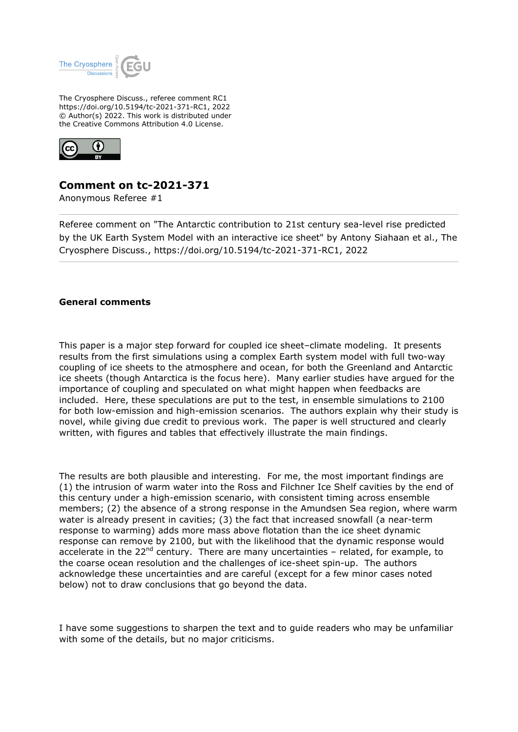

The Cryosphere Discuss., referee comment RC1 https://doi.org/10.5194/tc-2021-371-RC1, 2022 © Author(s) 2022. This work is distributed under the Creative Commons Attribution 4.0 License.



## **Comment on tc-2021-371**

Anonymous Referee #1

Referee comment on "The Antarctic contribution to 21st century sea-level rise predicted by the UK Earth System Model with an interactive ice sheet" by Antony Siahaan et al., The Cryosphere Discuss., https://doi.org/10.5194/tc-2021-371-RC1, 2022

## **General comments**

This paper is a major step forward for coupled ice sheet–climate modeling. It presents results from the first simulations using a complex Earth system model with full two-way coupling of ice sheets to the atmosphere and ocean, for both the Greenland and Antarctic ice sheets (though Antarctica is the focus here). Many earlier studies have argued for the importance of coupling and speculated on what might happen when feedbacks are included. Here, these speculations are put to the test, in ensemble simulations to 2100 for both low-emission and high-emission scenarios. The authors explain why their study is novel, while giving due credit to previous work. The paper is well structured and clearly written, with figures and tables that effectively illustrate the main findings.

The results are both plausible and interesting. For me, the most important findings are (1) the intrusion of warm water into the Ross and Filchner Ice Shelf cavities by the end of this century under a high-emission scenario, with consistent timing across ensemble members; (2) the absence of a strong response in the Amundsen Sea region, where warm water is already present in cavities; (3) the fact that increased snowfall (a near-term response to warming) adds more mass above flotation than the ice sheet dynamic response can remove by 2100, but with the likelihood that the dynamic response would accelerate in the  $22^{nd}$  century. There are many uncertainties - related, for example, to the coarse ocean resolution and the challenges of ice-sheet spin-up. The authors acknowledge these uncertainties and are careful (except for a few minor cases noted below) not to draw conclusions that go beyond the data.

I have some suggestions to sharpen the text and to guide readers who may be unfamiliar with some of the details, but no major criticisms.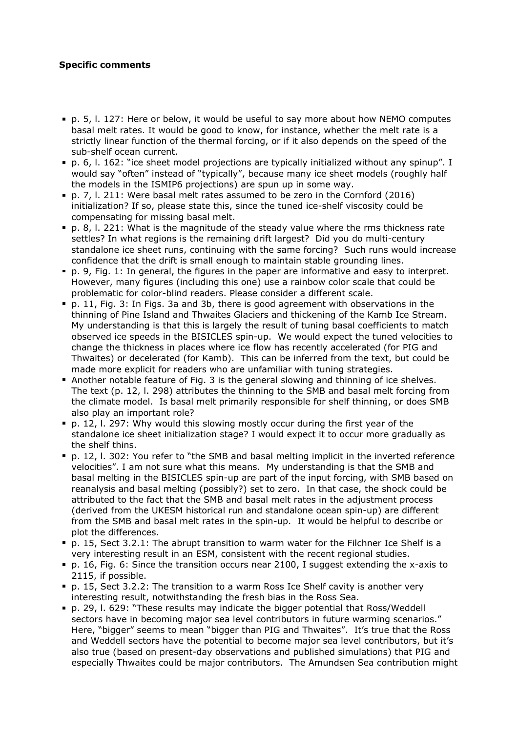## **Specific comments**

- p. 5, l. 127: Here or below, it would be useful to say more about how NEMO computes basal melt rates. It would be good to know, for instance, whether the melt rate is a strictly linear function of the thermal forcing, or if it also depends on the speed of the sub-shelf ocean current.
- p. 6, l. 162: "ice sheet model projections are typically initialized without any spinup". I would say "often" instead of "typically", because many ice sheet models (roughly half the models in the ISMIP6 projections) are spun up in some way.
- p. 7, l. 211: Were basal melt rates assumed to be zero in the Cornford (2016) initialization? If so, please state this, since the tuned ice-shelf viscosity could be compensating for missing basal melt.
- $p. 8$ , I. 221: What is the magnitude of the steady value where the rms thickness rate settles? In what regions is the remaining drift largest? Did you do multi-century standalone ice sheet runs, continuing with the same forcing? Such runs would increase confidence that the drift is small enough to maintain stable grounding lines.
- p. 9, Fig. 1: In general, the figures in the paper are informative and easy to interpret. However, many figures (including this one) use a rainbow color scale that could be problematic for color-blind readers. Please consider a different scale.
- p. 11, Fig. 3: In Figs. 3a and 3b, there is good agreement with observations in the thinning of Pine Island and Thwaites Glaciers and thickening of the Kamb Ice Stream. My understanding is that this is largely the result of tuning basal coefficients to match observed ice speeds in the BISICLES spin-up. We would expect the tuned velocities to change the thickness in places where ice flow has recently accelerated (for PIG and Thwaites) or decelerated (for Kamb). This can be inferred from the text, but could be made more explicit for readers who are unfamiliar with tuning strategies.
- Another notable feature of Fig. 3 is the general slowing and thinning of ice shelves. The text (p. 12, l. 298) attributes the thinning to the SMB and basal melt forcing from the climate model. Is basal melt primarily responsible for shelf thinning, or does SMB also play an important role?
- p. 12, l. 297: Why would this slowing mostly occur during the first year of the standalone ice sheet initialization stage? I would expect it to occur more gradually as the shelf thins.
- p. 12, l. 302: You refer to "the SMB and basal melting implicit in the inverted reference velocities". I am not sure what this means. My understanding is that the SMB and basal melting in the BISICLES spin-up are part of the input forcing, with SMB based on reanalysis and basal melting (possibly?) set to zero. In that case, the shock could be attributed to the fact that the SMB and basal melt rates in the adjustment process (derived from the UKESM historical run and standalone ocean spin-up) are different from the SMB and basal melt rates in the spin-up. It would be helpful to describe or plot the differences.
- p. 15, Sect 3.2.1: The abrupt transition to warm water for the Filchner Ice Shelf is a very interesting result in an ESM, consistent with the recent regional studies.
- p. 16, Fig. 6: Since the transition occurs near 2100, I suggest extending the x-axis to 2115, if possible.
- p. 15, Sect 3.2.2: The transition to a warm Ross Ice Shelf cavity is another very interesting result, notwithstanding the fresh bias in the Ross Sea.
- p. 29, l. 629: "These results may indicate the bigger potential that Ross/Weddell sectors have in becoming major sea level contributors in future warming scenarios." Here, "bigger" seems to mean "bigger than PIG and Thwaites". It's true that the Ross and Weddell sectors have the potential to become major sea level contributors, but it's also true (based on present-day observations and published simulations) that PIG and especially Thwaites could be major contributors. The Amundsen Sea contribution might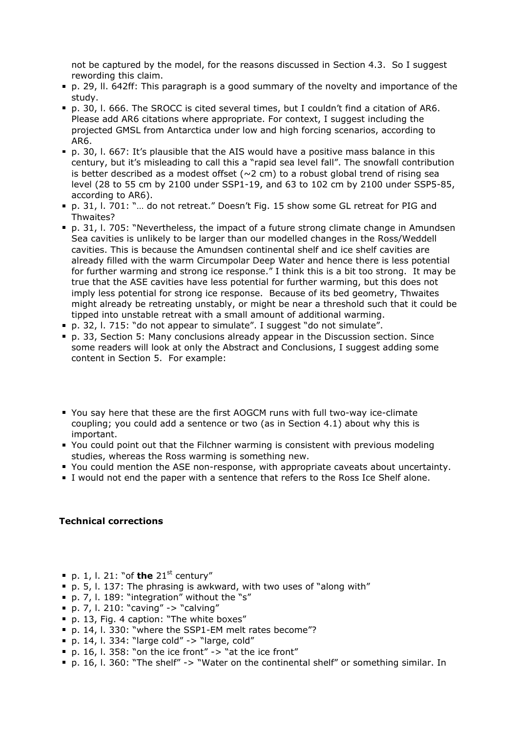not be captured by the model, for the reasons discussed in Section 4.3. So I suggest rewording this claim.

- p. 29, ll. 642ff: This paragraph is a good summary of the novelty and importance of the study.
- p. 30, l. 666. The SROCC is cited several times, but I couldn't find a citation of AR6. Please add AR6 citations where appropriate. For context, I suggest including the projected GMSL from Antarctica under low and high forcing scenarios, according to AR6.
- p. 30, l. 667: It's plausible that the AIS would have a positive mass balance in this century, but it's misleading to call this a "rapid sea level fall". The snowfall contribution is better described as a modest offset ( $\sim$ 2 cm) to a robust global trend of rising sea level (28 to 55 cm by 2100 under SSP1-19, and 63 to 102 cm by 2100 under SSP5-85, according to AR6).
- p. 31, l. 701: "… do not retreat." Doesn't Fig. 15 show some GL retreat for PIG and Thwaites?
- p. 31, l. 705: "Nevertheless, the impact of a future strong climate change in Amundsen Sea cavities is unlikely to be larger than our modelled changes in the Ross/Weddell cavities. This is because the Amundsen continental shelf and ice shelf cavities are already filled with the warm Circumpolar Deep Water and hence there is less potential for further warming and strong ice response." I think this is a bit too strong. It may be true that the ASE cavities have less potential for further warming, but this does not imply less potential for strong ice response. Because of its bed geometry, Thwaites might already be retreating unstably, or might be near a threshold such that it could be tipped into unstable retreat with a small amount of additional warming.
- p. 32, l. 715: "do not appear to simulate". I suggest "do not simulate".
- p. 33, Section 5: Many conclusions already appear in the Discussion section. Since some readers will look at only the Abstract and Conclusions, I suggest adding some content in Section 5. For example:
- You say here that these are the first AOGCM runs with full two-way ice-climate coupling; you could add a sentence or two (as in Section 4.1) about why this is important.
- You could point out that the Filchner warming is consistent with previous modeling studies, whereas the Ross warming is something new.
- You could mention the ASE non-response, with appropriate caveats about uncertainty.
- I would not end the paper with a sentence that refers to the Ross Ice Shelf alone.

## **Technical corrections**

- $p. 1$ , l. 21: "of **the**  $21^{st}$  century"
- $p. 5$ , l. 137: The phrasing is awkward, with two uses of "along with"
- p. 7, l. 189: "integration" without the "s"
- p. 7, l. 210: "caving" -> "calving"
- p. 13, Fig. 4 caption: "The white boxes"
- p. 14, l. 330: "where the SSP1-EM melt rates become"?
- $p. 14$ , l. 334: "large cold" -> "large, cold"
- $p. 16$ , l. 358: "on the ice front" -> "at the ice front"
- p. 16, l. 360: "The shelf" -> "Water on the continental shelf" or something similar. In